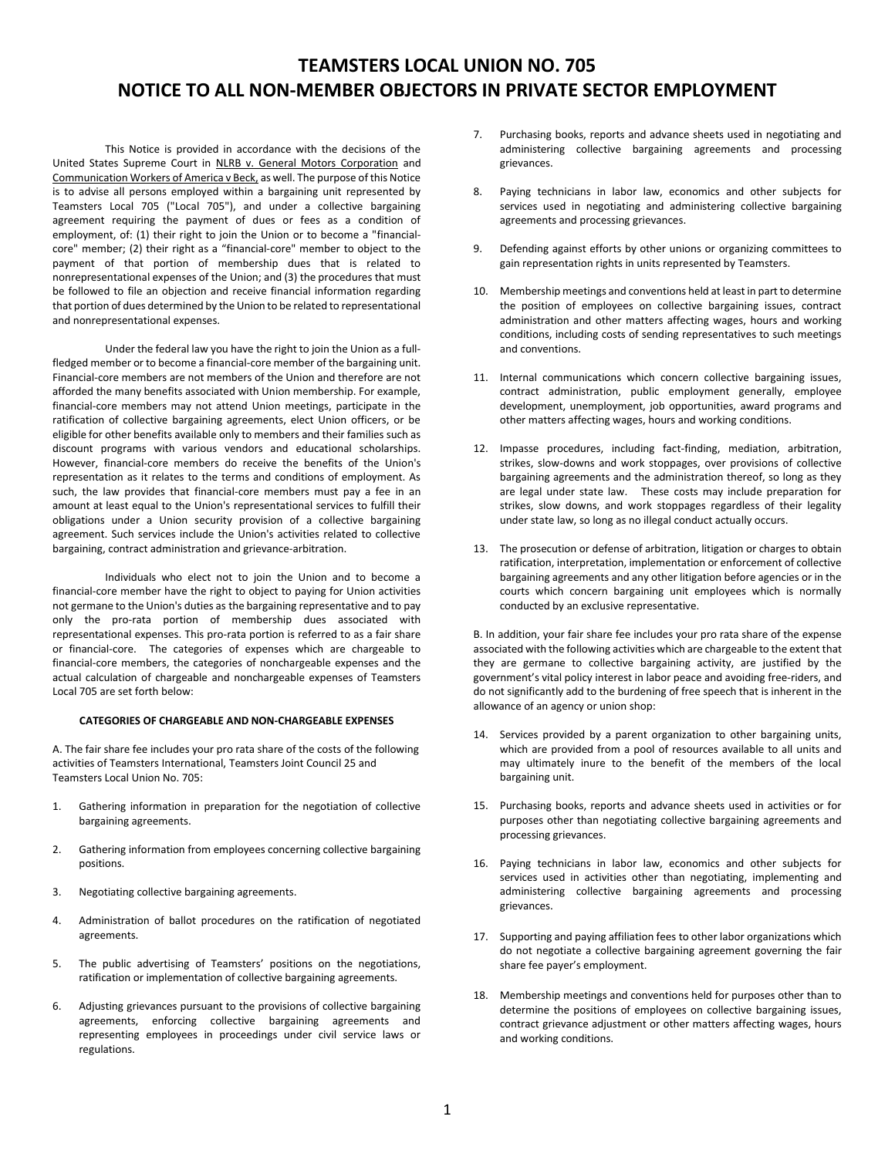# **TEAMSTERS LOCAL UNION NO. 705 NOTICE TO ALL NON-MEMBER OBJECTORS IN PRIVATE SECTOR EMPLOYMENT**

This Notice is provided in accordance with the decisions of the United States Supreme Court in NLRB v. General Motors Corporation and Communication Workers of America v Beck, as well. The purpose of this Notice is to advise all persons employed within a bargaining unit represented by Teamsters Local 705 ("Local 705"), and under a collective bargaining agreement requiring the payment of dues or fees as a condition of employment, of: (1) their right to join the Union or to become a "financialcore" member; (2) their right as a "financial-core" member to object to the payment of that portion of membership dues that is related to nonrepresentational expenses of the Union; and (3) the procedures that must be followed to file an objection and receive financial information regarding that portion of dues determined by the Union to be related to representational and nonrepresentational expenses.

Under the federal law you have the right to join the Union as a fullfledged member or to become a financial-core member of the bargaining unit. Financial-core members are not members of the Union and therefore are not afforded the many benefits associated with Union membership. For example, financial-core members may not attend Union meetings, participate in the ratification of collective bargaining agreements, elect Union officers, or be eligible for other benefits available only to members and their families such as discount programs with various vendors and educational scholarships. However, financial-core members do receive the benefits of the Union's representation as it relates to the terms and conditions of employment. As such, the law provides that financial-core members must pay a fee in an amount at least equal to the Union's representational services to fulfill their obligations under a Union security provision of a collective bargaining agreement. Such services include the Union's activities related to collective bargaining, contract administration and grievance-arbitration.

Individuals who elect not to join the Union and to become a financial-core member have the right to object to paying for Union activities not germane to the Union's duties as the bargaining representative and to pay only the pro-rata portion of membership dues associated with representational expenses. This pro-rata portion is referred to as a fair share or financial-core. The categories of expenses which are chargeable to financial-core members, the categories of nonchargeable expenses and the actual calculation of chargeable and nonchargeable expenses of Teamsters Local 705 are set forth below:

#### **CATEGORIES OF CHARGEABLE AND NON-CHARGEABLE EXPENSES**

A. The fair share fee includes your pro rata share of the costs of the following activities of Teamsters International, Teamsters Joint Council 25 and Teamsters Local Union No. 705:

- 1. Gathering information in preparation for the negotiation of collective bargaining agreements.
- 2. Gathering information from employees concerning collective bargaining positions.
- 3. Negotiating collective bargaining agreements.
- 4. Administration of ballot procedures on the ratification of negotiated agreements.
- 5. The public advertising of Teamsters' positions on the negotiations, ratification or implementation of collective bargaining agreements.
- 6. Adjusting grievances pursuant to the provisions of collective bargaining agreements, enforcing collective bargaining agreements and representing employees in proceedings under civil service laws or regulations.
- 7. Purchasing books, reports and advance sheets used in negotiating and administering collective bargaining agreements and processing grievances.
- 8. Paying technicians in labor law, economics and other subjects for services used in negotiating and administering collective bargaining agreements and processing grievances.
- 9. Defending against efforts by other unions or organizing committees to gain representation rights in units represented by Teamsters.
- 10. Membership meetings and conventions held at least in part to determine the position of employees on collective bargaining issues, contract administration and other matters affecting wages, hours and working conditions, including costs of sending representatives to such meetings and conventions.
- 11. Internal communications which concern collective bargaining issues, contract administration, public employment generally, employee development, unemployment, job opportunities, award programs and other matters affecting wages, hours and working conditions.
- 12. Impasse procedures, including fact-finding, mediation, arbitration, strikes, slow-downs and work stoppages, over provisions of collective bargaining agreements and the administration thereof, so long as they are legal under state law. These costs may include preparation for strikes, slow downs, and work stoppages regardless of their legality under state law, so long as no illegal conduct actually occurs.
- 13. The prosecution or defense of arbitration, litigation or charges to obtain ratification, interpretation, implementation or enforcement of collective bargaining agreements and any other litigation before agencies or in the courts which concern bargaining unit employees which is normally conducted by an exclusive representative.

B. In addition, your fair share fee includes your pro rata share of the expense associated with the following activities which are chargeable to the extent that they are germane to collective bargaining activity, are justified by the government's vital policy interest in labor peace and avoiding free-riders, and do not significantly add to the burdening of free speech that is inherent in the allowance of an agency or union shop:

- 14. Services provided by a parent organization to other bargaining units, which are provided from a pool of resources available to all units and may ultimately inure to the benefit of the members of the local bargaining unit.
- 15. Purchasing books, reports and advance sheets used in activities or for purposes other than negotiating collective bargaining agreements and processing grievances.
- 16. Paying technicians in labor law, economics and other subjects for services used in activities other than negotiating, implementing and administering collective bargaining agreements and processing grievances.
- 17. Supporting and paying affiliation fees to other labor organizations which do not negotiate a collective bargaining agreement governing the fair share fee payer's employment.
- 18. Membership meetings and conventions held for purposes other than to determine the positions of employees on collective bargaining issues, contract grievance adjustment or other matters affecting wages, hours and working conditions.